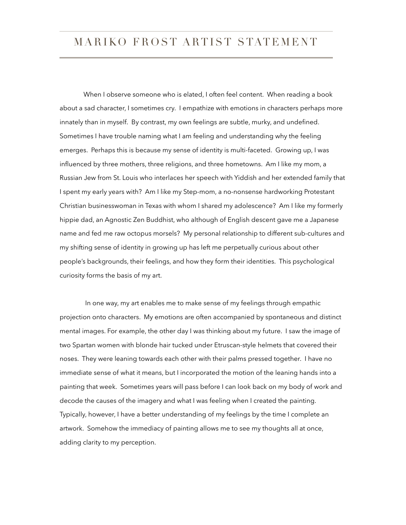When I observe someone who is elated, I often feel content. When reading a book about a sad character, I sometimes cry. I empathize with emotions in characters perhaps more innately than in myself. By contrast, my own feelings are subtle, murky, and undefined. Sometimes I have trouble naming what I am feeling and understanding why the feeling emerges. Perhaps this is because my sense of identity is multi-faceted. Growing up, I was influenced by three mothers, three religions, and three hometowns. Am I like my mom, a Russian Jew from St. Louis who interlaces her speech with Yiddish and her extended family that I spent my early years with? Am I like my Step-mom, a no-nonsense hardworking Protestant Christian businesswoman in Texas with whom I shared my adolescence? Am I like my formerly hippie dad, an Agnostic Zen Buddhist, who although of English descent gave me a Japanese name and fed me raw octopus morsels? My personal relationship to different sub-cultures and my shifting sense of identity in growing up has left me perpetually curious about other people's backgrounds, their feelings, and how they form their identities. This psychological curiosity forms the basis of my art.

 In one way, my art enables me to make sense of my feelings through empathic projection onto characters. My emotions are often accompanied by spontaneous and distinct mental images. For example, the other day I was thinking about my future. I saw the image of two Spartan women with blonde hair tucked under Etruscan-style helmets that covered their noses. They were leaning towards each other with their palms pressed together. I have no immediate sense of what it means, but I incorporated the motion of the leaning hands into a painting that week. Sometimes years will pass before I can look back on my body of work and decode the causes of the imagery and what I was feeling when I created the painting. Typically, however, I have a better understanding of my feelings by the time I complete an artwork. Somehow the immediacy of painting allows me to see my thoughts all at once, adding clarity to my perception.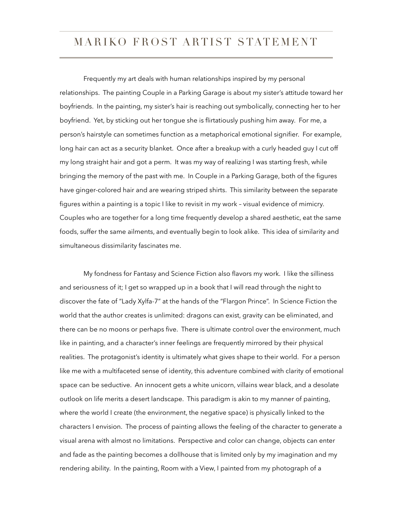Frequently my art deals with human relationships inspired by my personal relationships. The painting Couple in a Parking Garage is about my sister's attitude toward her boyfriends. In the painting, my sister's hair is reaching out symbolically, connecting her to her boyfriend. Yet, by sticking out her tongue she is flirtatiously pushing him away. For me, a person's hairstyle can sometimes function as a metaphorical emotional signifier. For example, long hair can act as a security blanket. Once after a breakup with a curly headed guy I cut off my long straight hair and got a perm. It was my way of realizing I was starting fresh, while bringing the memory of the past with me. In Couple in a Parking Garage, both of the figures have ginger-colored hair and are wearing striped shirts. This similarity between the separate figures within a painting is a topic I like to revisit in my work – visual evidence of mimicry. Couples who are together for a long time frequently develop a shared aesthetic, eat the same foods, suffer the same ailments, and eventually begin to look alike. This idea of similarity and simultaneous dissimilarity fascinates me.

 My fondness for Fantasy and Science Fiction also flavors my work. I like the silliness and seriousness of it; I get so wrapped up in a book that I will read through the night to discover the fate of "Lady Xylfa-7" at the hands of the "Flargon Prince". In Science Fiction the world that the author creates is unlimited: dragons can exist, gravity can be eliminated, and there can be no moons or perhaps five. There is ultimate control over the environment, much like in painting, and a character's inner feelings are frequently mirrored by their physical realities. The protagonist's identity is ultimately what gives shape to their world. For a person like me with a multifaceted sense of identity, this adventure combined with clarity of emotional space can be seductive. An innocent gets a white unicorn, villains wear black, and a desolate outlook on life merits a desert landscape. This paradigm is akin to my manner of painting, where the world I create (the environment, the negative space) is physically linked to the characters I envision. The process of painting allows the feeling of the character to generate a visual arena with almost no limitations. Perspective and color can change, objects can enter and fade as the painting becomes a dollhouse that is limited only by my imagination and my rendering ability. In the painting, Room with a View, I painted from my photograph of a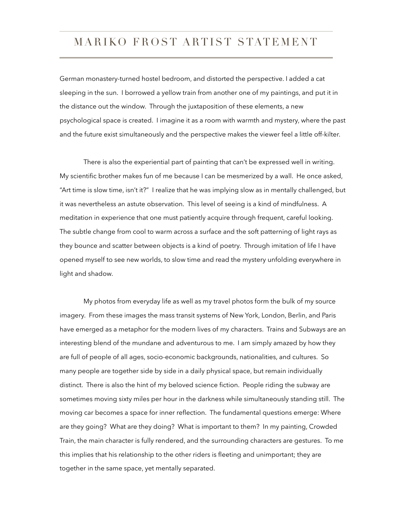German monastery-turned hostel bedroom, and distorted the perspective. I added a cat sleeping in the sun. I borrowed a yellow train from another one of my paintings, and put it in the distance out the window. Through the juxtaposition of these elements, a new psychological space is created. I imagine it as a room with warmth and mystery, where the past and the future exist simultaneously and the perspective makes the viewer feel a little off-kilter.

 There is also the experiential part of painting that can't be expressed well in writing. My scientific brother makes fun of me because I can be mesmerized by a wall. He once asked, "Art time is slow time, isn't it?" I realize that he was implying slow as in mentally challenged, but it was nevertheless an astute observation. This level of seeing is a kind of mindfulness. A meditation in experience that one must patiently acquire through frequent, careful looking. The subtle change from cool to warm across a surface and the soft patterning of light rays as they bounce and scatter between objects is a kind of poetry. Through imitation of life I have opened myself to see new worlds, to slow time and read the mystery unfolding everywhere in light and shadow.

 My photos from everyday life as well as my travel photos form the bulk of my source imagery. From these images the mass transit systems of New York, London, Berlin, and Paris have emerged as a metaphor for the modern lives of my characters. Trains and Subways are an interesting blend of the mundane and adventurous to me. I am simply amazed by how they are full of people of all ages, socio-economic backgrounds, nationalities, and cultures. So many people are together side by side in a daily physical space, but remain individually distinct. There is also the hint of my beloved science fiction. People riding the subway are sometimes moving sixty miles per hour in the darkness while simultaneously standing still. The moving car becomes a space for inner reflection. The fundamental questions emerge: Where are they going? What are they doing? What is important to them? In my painting, Crowded Train, the main character is fully rendered, and the surrounding characters are gestures. To me this implies that his relationship to the other riders is fleeting and unimportant; they are together in the same space, yet mentally separated.